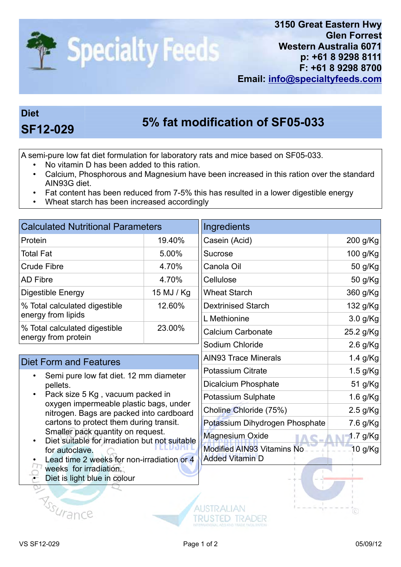

## Diet

## 5% fat modification of SF05-033 SF12-029

A semi-pure low fat diet formulation for laboratory rats and mice based on SF05-033.

- No vitamin D has been added to this ration.
- Calcium, Phosphorous and Magnesium have been increased in this ration over the standard AIN93G diet.
- Fat content has been reduced from 7-5% this has resulted in a lower digestible energy
- Wheat starch has been increased accordingly

| <b>Calculated Nutritional Parameters</b>                                                                                                                                     |                           | Ingredients                                                                                                                    |  |
|------------------------------------------------------------------------------------------------------------------------------------------------------------------------------|---------------------------|--------------------------------------------------------------------------------------------------------------------------------|--|
| 19.40%                                                                                                                                                                       | Casein (Acid)             | 200 g/Kg                                                                                                                       |  |
| 5.00%                                                                                                                                                                        | Sucrose                   | 100 g/Kg                                                                                                                       |  |
| 4.70%                                                                                                                                                                        | Canola Oil                | 50 g/Kg                                                                                                                        |  |
| 4.70%                                                                                                                                                                        | Cellulose                 | 50 g/Kg                                                                                                                        |  |
| 15 MJ / Kg                                                                                                                                                                   | <b>Wheat Starch</b>       | 360 g/Kg                                                                                                                       |  |
| 12.60%                                                                                                                                                                       | <b>Dextrinised Starch</b> | 132 g/Kg                                                                                                                       |  |
|                                                                                                                                                                              | L Methionine              | $3.0$ g/Kg                                                                                                                     |  |
| 23.00%                                                                                                                                                                       | <b>Calcium Carbonate</b>  | 25.2 g/Kg                                                                                                                      |  |
|                                                                                                                                                                              | Sodium Chloride           | $2.6$ g/Kg                                                                                                                     |  |
| <b>Diet Form and Features</b>                                                                                                                                                |                           | $1.4$ g/Kg                                                                                                                     |  |
| Semi pure low fat diet. 12 mm diameter<br>pellets.<br>Pack size 5 Kg, vacuum packed in<br>oxygen impermeable plastic bags, under<br>nitrogen. Bags are packed into cardboard |                           | $1.5$ g/Kg                                                                                                                     |  |
|                                                                                                                                                                              |                           | 51 g/Kg                                                                                                                        |  |
|                                                                                                                                                                              |                           | 1.6 $g/Kg$                                                                                                                     |  |
|                                                                                                                                                                              |                           | $2.5$ g/Kg                                                                                                                     |  |
|                                                                                                                                                                              |                           | <b>AIN93 Trace Minerals</b><br><b>Potassium Citrate</b><br>Dicalcium Phosphate<br>Potassium Sulphate<br>Choline Chloride (75%) |  |

- cartons to protect them during transit. Smaller pack quantity on request.
- Diet suitable for irradiation but not suitable for autoclave.
- Lead time 2 weeks for non-irradiation or 4
- weeks for irradiation.

Assurance

Diet is light blue in colour



Added Vitamin D

Modified AIN93 Vitamins No

Potassium Dihydrogen Phosphate 7.6 g/Kg Magnesium Oxide 1.7 g/Kg

Õ)

10 g/Kg